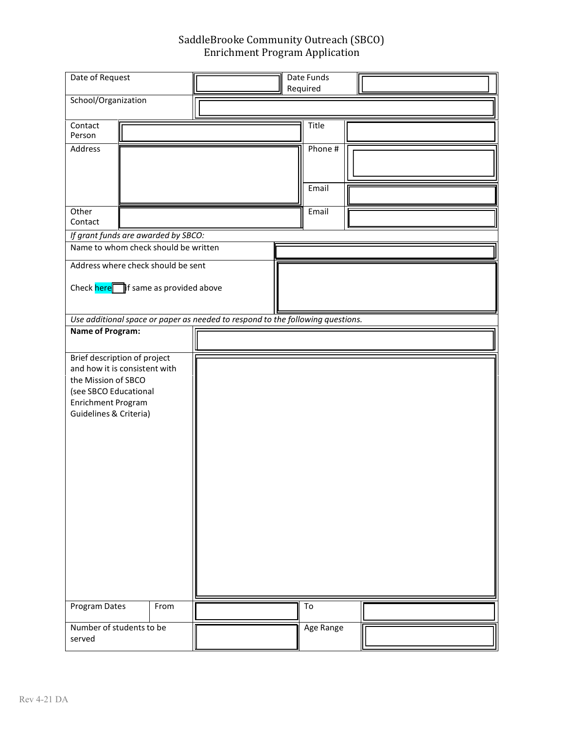## SaddleBrooke Community Outreach (SBCO) Enrichment Program Application

| Date of Request                                                             |                              |      | Date Funds<br>Required                                                         |  |           |  |  |
|-----------------------------------------------------------------------------|------------------------------|------|--------------------------------------------------------------------------------|--|-----------|--|--|
| School/Organization                                                         |                              |      |                                                                                |  |           |  |  |
|                                                                             |                              |      |                                                                                |  |           |  |  |
| Contact<br>Person                                                           |                              |      |                                                                                |  | Title     |  |  |
| Address                                                                     |                              |      |                                                                                |  | Phone #   |  |  |
|                                                                             |                              |      |                                                                                |  |           |  |  |
|                                                                             |                              |      |                                                                                |  |           |  |  |
|                                                                             |                              |      |                                                                                |  | Email     |  |  |
|                                                                             |                              |      |                                                                                |  |           |  |  |
| Other<br>Contact                                                            |                              |      |                                                                                |  | Email     |  |  |
|                                                                             |                              |      |                                                                                |  |           |  |  |
| If grant funds are awarded by SBCO:<br>Name to whom check should be written |                              |      |                                                                                |  |           |  |  |
|                                                                             |                              |      |                                                                                |  |           |  |  |
| Address where check should be sent                                          |                              |      |                                                                                |  |           |  |  |
| Check here if same as provided above                                        |                              |      |                                                                                |  |           |  |  |
|                                                                             |                              |      |                                                                                |  |           |  |  |
|                                                                             |                              |      | Use additional space or paper as needed to respond to the following questions. |  |           |  |  |
| <b>Name of Program:</b>                                                     |                              |      |                                                                                |  |           |  |  |
|                                                                             |                              |      |                                                                                |  |           |  |  |
|                                                                             | Brief description of project |      |                                                                                |  |           |  |  |
| and how it is consistent with                                               |                              |      |                                                                                |  |           |  |  |
| the Mission of SBCO                                                         |                              |      |                                                                                |  |           |  |  |
| (see SBCO Educational                                                       |                              |      |                                                                                |  |           |  |  |
| Enrichment Program<br>Guidelines & Criteria)                                |                              |      |                                                                                |  |           |  |  |
|                                                                             |                              |      |                                                                                |  |           |  |  |
|                                                                             |                              |      |                                                                                |  |           |  |  |
|                                                                             |                              |      |                                                                                |  |           |  |  |
|                                                                             |                              |      |                                                                                |  |           |  |  |
|                                                                             |                              |      |                                                                                |  |           |  |  |
|                                                                             |                              |      |                                                                                |  |           |  |  |
|                                                                             |                              |      |                                                                                |  |           |  |  |
|                                                                             |                              |      |                                                                                |  |           |  |  |
|                                                                             |                              |      |                                                                                |  |           |  |  |
|                                                                             |                              |      |                                                                                |  |           |  |  |
|                                                                             |                              |      |                                                                                |  |           |  |  |
|                                                                             |                              |      |                                                                                |  |           |  |  |
|                                                                             |                              |      |                                                                                |  |           |  |  |
| Program Dates                                                               |                              | From |                                                                                |  | To        |  |  |
|                                                                             |                              |      |                                                                                |  |           |  |  |
| Number of students to be<br>served                                          |                              |      |                                                                                |  | Age Range |  |  |
|                                                                             |                              |      |                                                                                |  |           |  |  |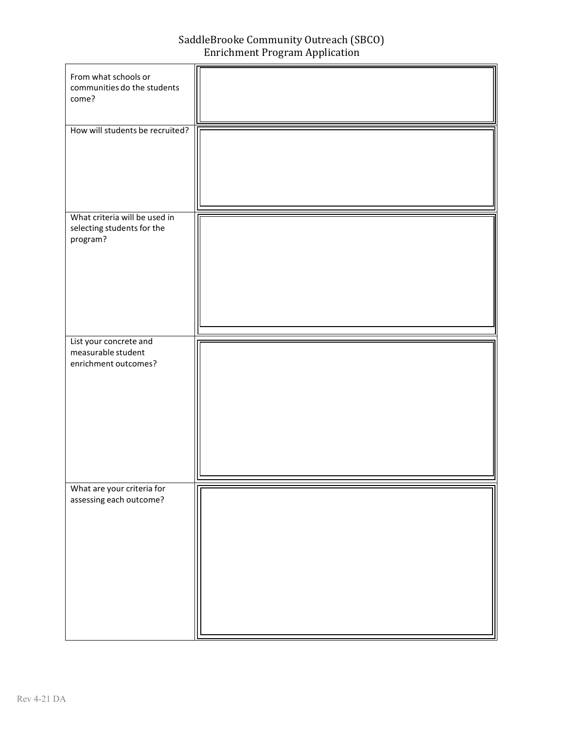SaddleBrooke Community Outreach (SBCO) Enrichment Program Application

| From what schools or<br>communities do the students<br>come?             |  |
|--------------------------------------------------------------------------|--|
|                                                                          |  |
| How will students be recruited?                                          |  |
| What criteria will be used in                                            |  |
| selecting students for the<br>program?                                   |  |
| List your concrete and                                                   |  |
| measurable student<br>enrichment outcomes?<br>What are your criteria for |  |
| assessing each outcome?                                                  |  |